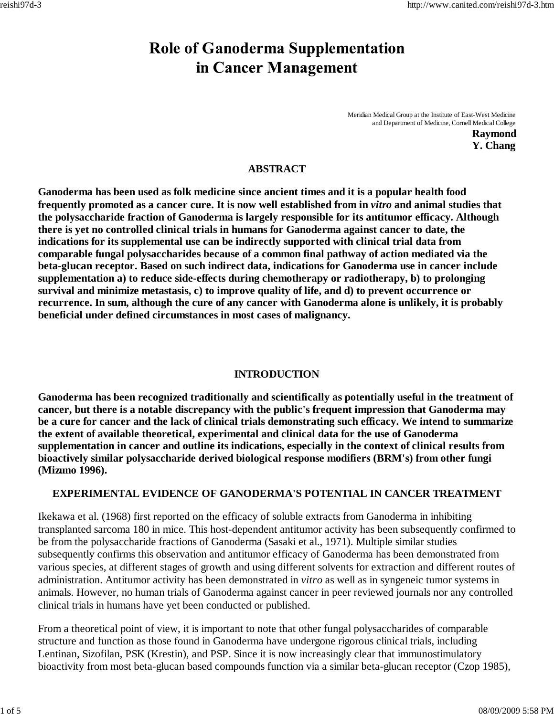# **Role of Ganoderma Supplementation** in Cancer Management

Meridian Medical Group at the Institute of East-West Medicine and Department of Medicine, Cornell Medical College **Raymond**

**Y. Chang**

# **ABSTRACT**

**Ganoderma has been used as folk medicine since ancient times and it is a popular health food frequently promoted as a cancer cure. It is now well established from in** *vitro* **and animal studies that the polysaccharide fraction of Ganoderma is largely responsible for its antitumor efficacy. Although there is yet no controlled clinical trials in humans for Ganoderma against cancer to date, the indications for its supplemental use can be indirectly supported with clinical trial data from comparable fungal polysaccharides because of a common final pathway of action mediated via the beta-glucan receptor. Based on such indirect data, indications for Ganoderma use in cancer include supplementation a) to reduce side-effects during chemotherapy or radiotherapy, b) to prolonging survival and minimize metastasis, c) to improve quality of life, and d) to prevent occurrence or recurrence. In sum, although the cure of any cancer with Ganoderma alone is unlikely, it is probably beneficial under defined circumstances in most cases of malignancy.**

# **INTRODUCTION**

**Ganoderma has been recognized traditionally and scientifically as potentially useful in the treatment of cancer, but there is a notable discrepancy with the public's frequent impression that Ganoderma may be a cure for cancer and the lack of clinical trials demonstrating such efficacy. We intend to summarize the extent of available theoretical, experimental and clinical data for the use of Ganoderma supplementation in cancer and outline its indications, especially in the context of clinical results from bioactively similar polysaccharide derived biological response modifiers (BRM's) from other fungi (Mizuno 1996).**

## **EXPERIMENTAL EVIDENCE OF GANODERMA'S POTENTIAL IN CANCER TREATMENT**

Ikekawa et al. (1968) first reported on the efficacy of soluble extracts from Ganoderma in inhibiting transplanted sarcoma 180 in mice. This host-dependent antitumor activity has been subsequently confirmed to be from the polysaccharide fractions of Ganoderma (Sasaki et al., 1971). Multiple similar studies subsequently confirms this observation and antitumor efficacy of Ganoderma has been demonstrated from various species, at different stages of growth and using different solvents for extraction and different routes of administration. Antitumor activity has been demonstrated in *vitro* as well as in syngeneic tumor systems in animals. However, no human trials of Ganoderma against cancer in peer reviewed journals nor any controlled clinical trials in humans have yet been conducted or published.

From a theoretical point of view, it is important to note that other fungal polysaccharides of comparable structure and function as those found in Ganoderma have undergone rigorous clinical trials, including Lentinan, Sizofilan, PSK (Krestin), and PSP. Since it is now increasingly clear that immunostimulatory bioactivity from most beta-glucan based compounds function via a similar beta-glucan receptor (Czop 1985),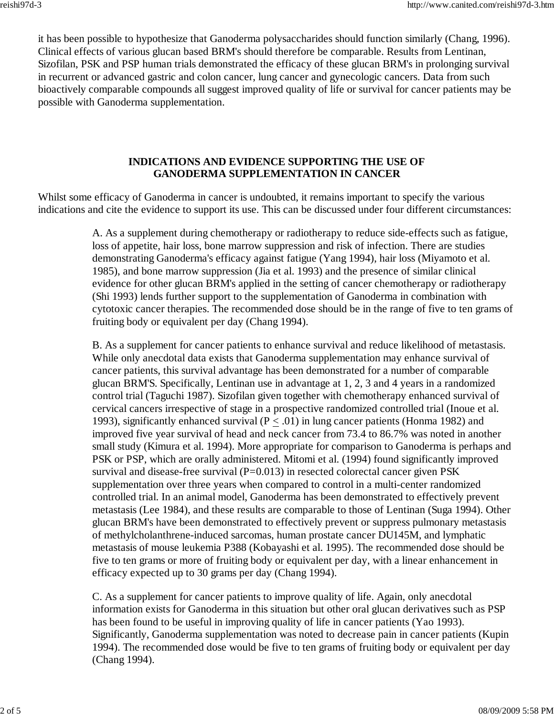it has been possible to hypothesize that Ganoderma polysaccharides should function similarly (Chang, 1996). Clinical effects of various glucan based BRM's should therefore be comparable. Results from Lentinan, Sizofilan, PSK and PSP human trials demonstrated the efficacy of these glucan BRM's in prolonging survival in recurrent or advanced gastric and colon cancer, lung cancer and gynecologic cancers. Data from such bioactively comparable compounds all suggest improved quality of life or survival for cancer patients may be possible with Ganoderma supplementation.

### **INDICATIONS AND EVIDENCE SUPPORTING THE USE OF GANODERMA SUPPLEMENTATION IN CANCER**

Whilst some efficacy of Ganoderma in cancer is undoubted, it remains important to specify the various indications and cite the evidence to support its use. This can be discussed under four different circumstances:

> A. As a supplement during chemotherapy or radiotherapy to reduce side-effects such as fatigue, loss of appetite, hair loss, bone marrow suppression and risk of infection. There are studies demonstrating Ganoderma's efficacy against fatigue (Yang 1994), hair loss (Miyamoto et al. 1985), and bone marrow suppression (Jia et al. 1993) and the presence of similar clinical evidence for other glucan BRM's applied in the setting of cancer chemotherapy or radiotherapy (Shi 1993) lends further support to the supplementation of Ganoderma in combination with cytotoxic cancer therapies. The recommended dose should be in the range of five to ten grams of fruiting body or equivalent per day (Chang 1994).

> B. As a supplement for cancer patients to enhance survival and reduce likelihood of metastasis. While only anecdotal data exists that Ganoderma supplementation may enhance survival of cancer patients, this survival advantage has been demonstrated for a number of comparable glucan BRM'S. Specifically, Lentinan use in advantage at 1, 2, 3 and 4 years in a randomized control trial (Taguchi 1987). Sizofilan given together with chemotherapy enhanced survival of cervical cancers irrespective of stage in a prospective randomized controlled trial (Inoue et al. 1993), significantly enhanced survival ( $P < .01$ ) in lung cancer patients (Honma 1982) and improved five year survival of head and neck cancer from 73.4 to 86.7% was noted in another small study (Kimura et al. 1994). More appropriate for comparison to Ganoderma is perhaps and PSK or PSP, which are orally administered. Mitomi et al. (1994) found significantly improved survival and disease-free survival  $(P=0.013)$  in resected colorectal cancer given PSK supplementation over three years when compared to control in a multi-center randomized controlled trial. In an animal model, Ganoderma has been demonstrated to effectively prevent metastasis (Lee 1984), and these results are comparable to those of Lentinan (Suga 1994). Other glucan BRM's have been demonstrated to effectively prevent or suppress pulmonary metastasis of methylcholanthrene-induced sarcomas, human prostate cancer DU145M, and lymphatic metastasis of mouse leukemia P388 (Kobayashi et al. 1995). The recommended dose should be five to ten grams or more of fruiting body or equivalent per day, with a linear enhancement in efficacy expected up to 30 grams per day (Chang 1994).

> C. As a supplement for cancer patients to improve quality of life. Again, only anecdotal information exists for Ganoderma in this situation but other oral glucan derivatives such as PSP has been found to be useful in improving quality of life in cancer patients (Yao 1993). Significantly, Ganoderma supplementation was noted to decrease pain in cancer patients (Kupin 1994). The recommended dose would be five to ten grams of fruiting body or equivalent per day (Chang 1994).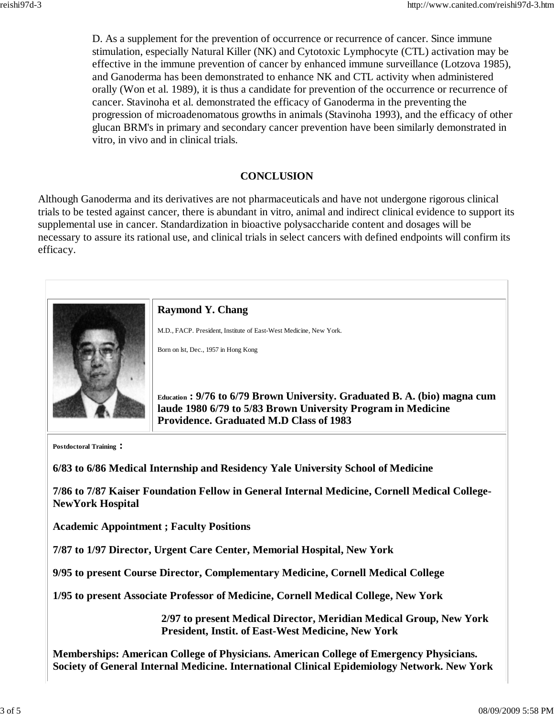D. As a supplement for the prevention of occurrence or recurrence of cancer. Since immune stimulation, especially Natural Killer (NK) and Cytotoxic Lymphocyte (CTL) activation may be effective in the immune prevention of cancer by enhanced immune surveillance (Lotzova 1985), and Ganoderma has been demonstrated to enhance NK and CTL activity when administered orally (Won et al. 1989), it is thus a candidate for prevention of the occurrence or recurrence of cancer. Stavinoha et al. demonstrated the efficacy of Ganoderma in the preventing the progression of microadenomatous growths in animals (Stavinoha 1993), and the efficacy of other glucan BRM's in primary and secondary cancer prevention have been similarly demonstrated in vitro, in vivo and in clinical trials.

## **CONCLUSION**

Although Ganoderma and its derivatives are not pharmaceuticals and have not undergone rigorous clinical trials to be tested against cancer, there is abundant in vitro, animal and indirect clinical evidence to support its supplemental use in cancer. Standardization in bioactive polysaccharide content and dosages will be necessary to assure its rational use, and clinical trials in select cancers with defined endpoints will confirm its efficacy.



**Postdoctoral Training :**

**6/83 to 6/86 Medical Internship and Residency Yale University School of Medicine**

**7/86 to 7/87 Kaiser Foundation Fellow in General Internal Medicine, Cornell Medical College-NewYork Hospital** 

**Academic Appointment ; Faculty Positions**

**7/87 to 1/97 Director, Urgent Care Center, Memorial Hospital, New York** 

**9/95 to present Course Director, Complementary Medicine, Cornell Medical College**

**1/95 to present Associate Professor of Medicine, Cornell Medical College, New York**

**2/97 to present Medical Director, Meridian Medical Group, New York President, Instit. of East-West Medicine, New York**

**Memberships: American College of Physicians. American College of Emergency Physicians. Society of General Internal Medicine. International Clinical Epidemiology Network. New York**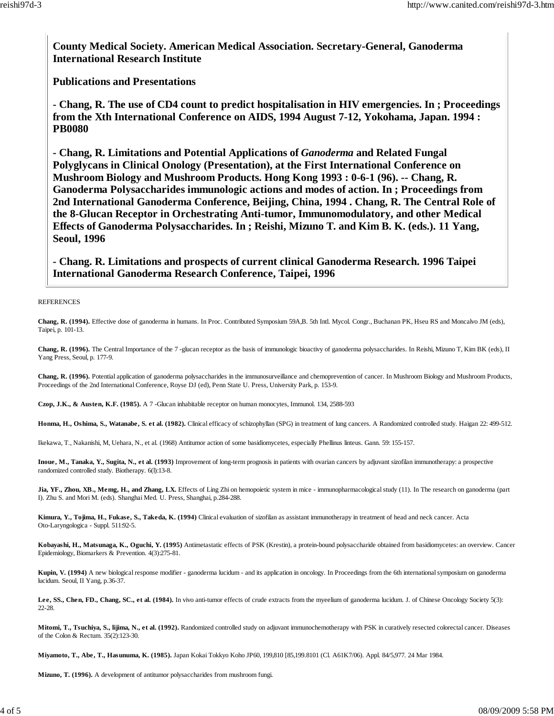**County Medical Society. American Medical Association. Secretary-General, Ganoderma International Research Institute**

**Publications and Presentations**

**- Chang, R. The use of CD4 count to predict hospitalisation in HIV emergencies. In ; Proceedings from the Xth International Conference on AIDS, 1994 August 7-12, Yokohama, Japan. 1994 : PB0080**

**- Chang, R. Limitations and Potential Applications of** *Ganoderma* **and Related Fungal Polyglycans in Clinical Onology (Presentation), at the First International Conference on Mushroom Biology and Mushroom Products. Hong Kong 1993 : 0-6-1 (96). -- Chang, R. Ganoderma Polysaccharides immunologic actions and modes of action. In ; Proceedings from 2nd International Ganoderma Conference, Beijing, China, 1994 . Chang, R. The Central Role of the 8-Glucan Receptor in Orchestrating Anti-tumor, Immunomodulatory, and other Medical Effects of Ganoderma Polysaccharides. In ; Reishi, Mizuno T. and Kim B. K. (eds.). 11 Yang, Seoul, 1996**

**- Chang. R. Limitations and prospects of current clinical Ganoderma Research. 1996 Taipei International Ganoderma Research Conference, Taipei, 1996**

**REFERENCES** 

**Chang, R. (1994).** Effective dose of ganoderma in humans. In Proc. Contributed Symposium 59A,B. 5th Intl. Mycol. Congr., Buchanan PK, Hseu RS and Moncalvo JM (eds), Taipei, p. 101-13.

**Chang, R. (1996).** The Central Importance of the 7 -glucan receptor as the basis of immunologic bioactivy of ganoderma polysaccharides. In Reishi, Mizuno T, Kim BK (eds), II Yang Press, Seoul, p. 177-9.

**Chang, R. (1996).** Potential application of ganoderma polysaccharides in the immunosurveillance and chemoprevention of cancer. In Mushroom Biology and Mushroom Products, Proceedings of the 2nd International Conference, Royse DJ (ed), Penn State U. Press, University Park, p. 153-9.

**Czop, J.K., & Austen, K.F. (1985).** A 7 -Glucan inhabitable receptor on human monocytes, Immunol. 134, 2588-593

**Honma, H., Oshima, S., Watanabe, S. et al. (1982).** Clinical efficacy of schizophyllan (SPG) in treatment of lung cancers. A Randomized controlled study. Haigan 22: 499-512.

Ikekawa, T., Nakanishi, M, Uehara, N., et al. (1968) Antitumor action of some basidiomycetes, especially Phellinus linteus. Gann. 59: 155-157.

**Inoue, M., Tanaka, Y., Sugita, N., et al. (1993)** Improvement of long-term prognosis in patients with ovarian cancers by adjuvant sizofilan immunotherapy: a prospective randomized controlled study. Biotherapy. 6(l):13-8.

Jia, YF., Zhou, XB., Memg, H., and Zhang, LX. Effects of Ling Zhi on hemopoietic system in mice - immunopharmacological study (11). In The research on ganoderma (part I). Zhu S. and Mori M. (eds). Shanghai Med. U. Press, Shanghai, p.284-288.

**Kimura, Y., Tojima, H., Fukase, S., Takeda, K. (1994)** Clinical evaluation of sizofilan as assistant immunotherapy in treatment of head and neck cancer. Acta Oto-Laryngologica - Suppl. 511:92-5.

**Kobayashi, H., Matsunaga, K., Oguchi, Y. (1995)** Antimetastatic effects of PSK (Krestin), a protein-bound polysaccharide obtained from basidiomycetes: an overview. Cancer Epidemiology, Biomarkers & Prevention. 4(3):275-81.

**Kupin, V. (1994)** A new biological response modifier - ganoderma lucidum - and its application in oncology. In Proceedings from the 6th international symposium on ganoderma lucidum. Seoul, II Yang, p.36-37.

**Lee, SS., Chen, FD., Chang, SC., et al. (1984).** In vivo anti-tumor effects of crude extracts from the myeelium of ganoderma lucidum. J. of Chinese Oncology Society 5(3): 22-28.

**Mitomi, T., Tsuchiya, S., lijima, N., et al. (1992).** Randomized controlled study on adjuvant immunochemotherapy with PSK in curatively resected colorectal cancer. Diseases of the Colon & Rectum. 35(2):123-30.

**Miyamoto, T., Abe, T., Hasunuma, K. (1985).** Japan Kokai Tokkyo Koho JP60, 199,810 [85,199.8101 (Cl. A61K7/06). Appl. 84/5,977. 24 Mar 1984.

**Mizuno, T. (1996).** A development of antitumor polysaccharides from mushroom fungi.